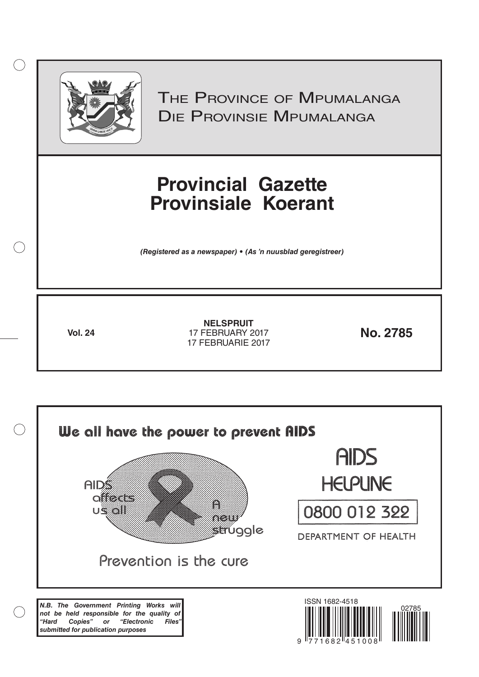

 $( )$ 

THE PROVINCE OF MPUMALANGA Die Provinsie Mpumalanga

# **Provincial Gazette Provinsiale Koerant**

*(Registered as a newspaper) • (As 'n nuusblad geregistreer)*

**Vol. 24 No. 2785** 17 FEBRUARY 2017 **NELSPRUIT** 17 FEBRUARIE 2017

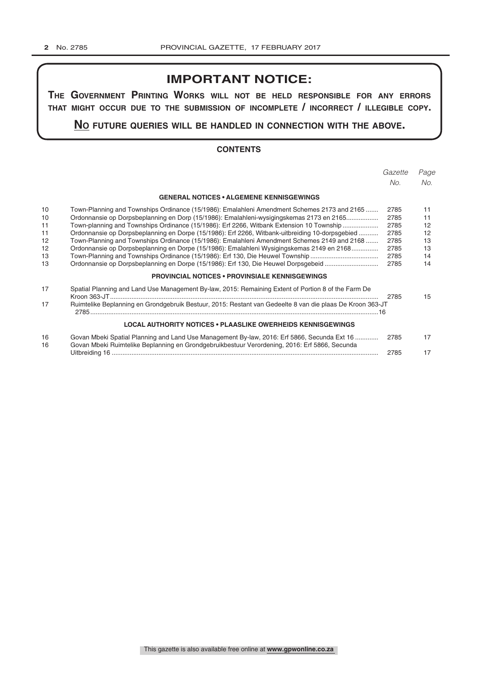## **IMPORTANT NOTICE:**

**The GovernmenT PrinTinG Works Will noT be held resPonsible for any errors ThaT miGhT occur due To The submission of incomPleTe / incorrecT / illeGible coPy.**

**no fuTure queries Will be handled in connecTion WiTh The above.**

## **CONTENTS**

|          |                                                                                                                                                                                              | Gazette | Page              |  |
|----------|----------------------------------------------------------------------------------------------------------------------------------------------------------------------------------------------|---------|-------------------|--|
|          |                                                                                                                                                                                              | No.     | No.               |  |
|          | <b>GENERAL NOTICES • ALGEMENE KENNISGEWINGS</b>                                                                                                                                              |         |                   |  |
| 10       | Town-Planning and Townships Ordinance (15/1986): Emalahleni Amendment Schemes 2173 and 2165                                                                                                  | 2785    | 11                |  |
| 10       | Ordonnansie op Dorpsbeplanning en Dorp (15/1986): Emalahleni-wysigingskemas 2173 en 2165                                                                                                     | 2785    | 11                |  |
| 11       | Town-planning and Townships Ordinance (15/1986): Erf 2266, Witbank Extension 10 Township                                                                                                     | 2785    | $12 \overline{ }$ |  |
| 11       | Ordonnansie op Dorpsbeplanning en Dorpe (15/1986): Erf 2266, Witbank-uitbreiding 10-dorpsgebied                                                                                              | 2785    | 12                |  |
| 12       | Town-Planning and Townships Ordinance (15/1986): Emalahleni Amendment Schemes 2149 and 2168                                                                                                  | 2785    | 13                |  |
| 12       | Ordonnansie op Dorpsbeplanning en Dorpe (15/1986): Emalahleni Wysigingskemas 2149 en 2168                                                                                                    | 2785    | 13                |  |
| 13       | Town-Planning and Townships Ordinance (15/1986): Erf 130, Die Heuwel Township                                                                                                                | 2785    | 14                |  |
| 13       | Ordonnansie op Dorpsbeplanning en Dorpe (15/1986): Erf 130, Die Heuwel Dorpsgebeid                                                                                                           | 2785    | 14                |  |
|          | <b>PROVINCIAL NOTICES • PROVINSIALE KENNISGEWINGS</b>                                                                                                                                        |         |                   |  |
| 17       | Spatial Planning and Land Use Management By-law, 2015: Remaining Extent of Portion 8 of the Farm De<br>2785                                                                                  |         |                   |  |
| 17       | Ruimtelike Beplanning en Grondgebruik Bestuur, 2015: Restant van Gedeelte 8 van die plaas De Kroon 363-JT                                                                                    | 15      |                   |  |
|          | <b>LOCAL AUTHORITY NOTICES • PLAASLIKE OWERHEIDS KENNISGEWINGS</b>                                                                                                                           |         |                   |  |
| 16<br>16 | Govan Mbeki Spatial Planning and Land Use Management By-law, 2016: Erf 5866, Secunda Ext 16<br>Govan Mbeki Ruimtelike Beplanning en Grondgebruikbestuur Verordening, 2016: Erf 5866, Secunda | 2785    | 17                |  |
|          |                                                                                                                                                                                              | 2785    | 17                |  |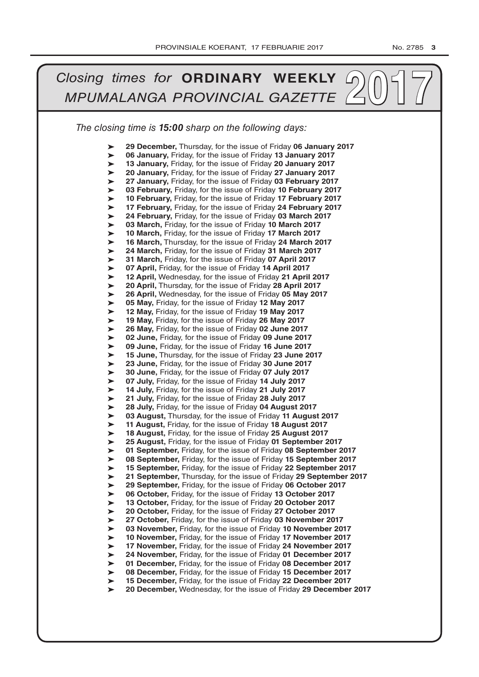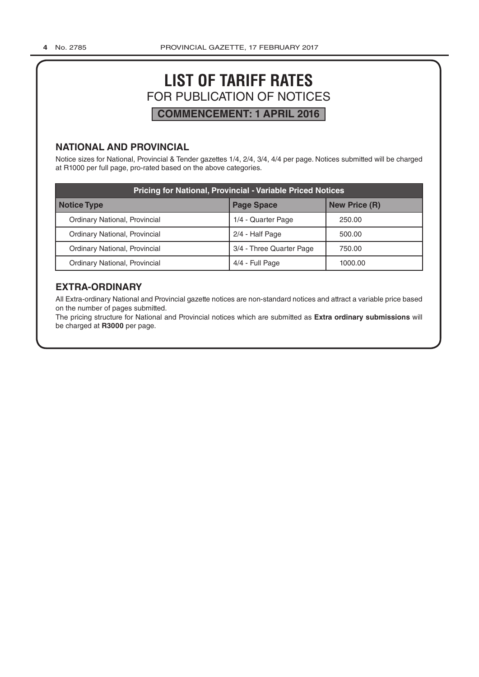## **LIST OF TARIFF RATES** FOR PUBLICATION OF NOTICES **COMMENCEMENT: 1 APRIL 2016**

## **NATIONAL AND PROVINCIAL**

Notice sizes for National, Provincial & Tender gazettes 1/4, 2/4, 3/4, 4/4 per page. Notices submitted will be charged at R1000 per full page, pro-rated based on the above categories.

| <b>Pricing for National, Provincial - Variable Priced Notices</b> |                          |                      |  |  |  |  |
|-------------------------------------------------------------------|--------------------------|----------------------|--|--|--|--|
| Notice Type                                                       | <b>Page Space</b>        | <b>New Price (R)</b> |  |  |  |  |
| Ordinary National, Provincial                                     | 1/4 - Quarter Page       | 250.00               |  |  |  |  |
| Ordinary National, Provincial                                     | 2/4 - Half Page          | 500.00               |  |  |  |  |
| Ordinary National, Provincial                                     | 3/4 - Three Quarter Page | 750.00               |  |  |  |  |
| Ordinary National, Provincial                                     | 4/4 - Full Page          | 1000.00              |  |  |  |  |

## **EXTRA-ORDINARY**

All Extra-ordinary National and Provincial gazette notices are non-standard notices and attract a variable price based on the number of pages submitted.

The pricing structure for National and Provincial notices which are submitted as **Extra ordinary submissions** will be charged at **R3000** per page.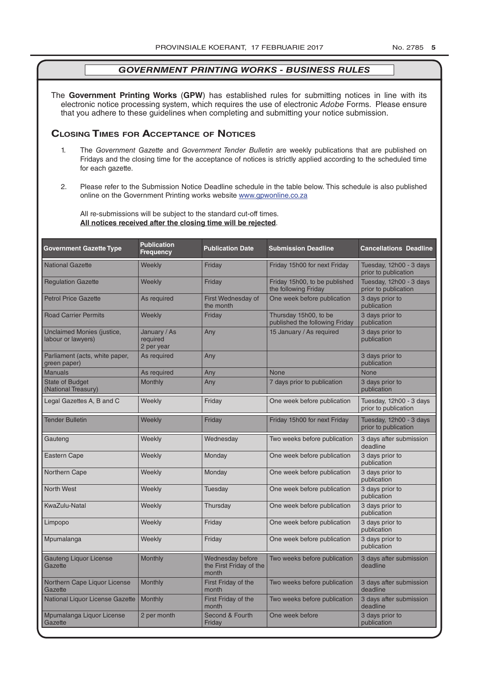The **Government Printing Works** (**GPW**) has established rules for submitting notices in line with its electronic notice processing system, which requires the use of electronic *Adobe* Forms. Please ensure that you adhere to these guidelines when completing and submitting your notice submission.

## **Closing Times for ACCepTAnCe of noTiCes**

- 1. The *Government Gazette* and *Government Tender Bulletin* are weekly publications that are published on Fridays and the closing time for the acceptance of notices is strictly applied according to the scheduled time for each gazette.
- 2. Please refer to the Submission Notice Deadline schedule in the table below. This schedule is also published online on the Government Printing works website www.gpwonline.co.za

All re-submissions will be subject to the standard cut-off times. **All notices received after the closing time will be rejected**.

| <b>Government Gazette Type</b>                   | <b>Publication</b><br><b>Frequency</b> | <b>Publication Date</b>                              | <b>Submission Deadline</b>                              | <b>Cancellations Deadline</b>                   |
|--------------------------------------------------|----------------------------------------|------------------------------------------------------|---------------------------------------------------------|-------------------------------------------------|
| <b>National Gazette</b>                          | Weekly                                 | Friday                                               | Friday 15h00 for next Friday                            | Tuesday, 12h00 - 3 days<br>prior to publication |
| <b>Regulation Gazette</b>                        | Weekly                                 | Friday                                               | Friday 15h00, to be published<br>the following Friday   | Tuesday, 12h00 - 3 days<br>prior to publication |
| <b>Petrol Price Gazette</b>                      | As required                            | First Wednesday of<br>the month                      | One week before publication                             | 3 days prior to<br>publication                  |
| <b>Road Carrier Permits</b>                      | Weekly                                 | Friday                                               | Thursday 15h00, to be<br>published the following Friday | 3 days prior to<br>publication                  |
| Unclaimed Monies (justice,<br>labour or lawyers) | January / As<br>required<br>2 per year | Any                                                  | 15 January / As required                                | 3 days prior to<br>publication                  |
| Parliament (acts, white paper,<br>green paper)   | As required                            | Any                                                  |                                                         | 3 days prior to<br>publication                  |
| <b>Manuals</b>                                   | As required                            | Any                                                  | <b>None</b>                                             | <b>None</b>                                     |
| <b>State of Budget</b><br>(National Treasury)    | <b>Monthly</b>                         | Any                                                  | 7 days prior to publication                             | 3 days prior to<br>publication                  |
| Legal Gazettes A, B and C                        | Weekly                                 | Friday                                               | One week before publication                             | Tuesday, 12h00 - 3 days<br>prior to publication |
| <b>Tender Bulletin</b>                           | Weekly                                 | Friday                                               | Friday 15h00 for next Friday                            | Tuesday, 12h00 - 3 days<br>prior to publication |
| Gauteng                                          | Weekly                                 | Wednesday                                            | Two weeks before publication                            | 3 days after submission<br>deadline             |
| <b>Eastern Cape</b>                              | Weekly                                 | Monday                                               | One week before publication                             | 3 days prior to<br>publication                  |
| Northern Cape                                    | Weekly                                 | Monday                                               | One week before publication                             | 3 days prior to<br>publication                  |
| <b>North West</b>                                | Weekly                                 | Tuesday                                              | One week before publication                             | 3 days prior to<br>publication                  |
| KwaZulu-Natal                                    | Weekly                                 | Thursday                                             | One week before publication                             | 3 days prior to<br>publication                  |
| Limpopo                                          | Weekly                                 | Friday                                               | One week before publication                             | 3 days prior to<br>publication                  |
| Mpumalanga                                       | Weekly                                 | Friday                                               | One week before publication                             | 3 days prior to<br>publication                  |
| <b>Gauteng Liquor License</b><br>Gazette         | Monthly                                | Wednesday before<br>the First Friday of the<br>month | Two weeks before publication                            | 3 days after submission<br>deadline             |
| Northern Cape Liquor License<br>Gazette          | Monthly                                | First Friday of the<br>month                         | Two weeks before publication                            | 3 days after submission<br>deadline             |
| National Liquor License Gazette                  | Monthly                                | First Friday of the<br>month                         | Two weeks before publication                            | 3 days after submission<br>deadline             |
| Mpumalanga Liquor License<br>Gazette             | 2 per month                            | Second & Fourth<br>Friday                            | One week before                                         | 3 days prior to<br>publication                  |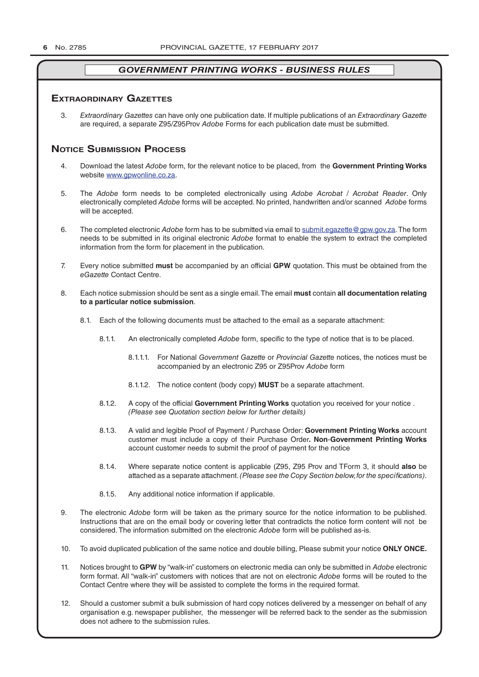#### **exTrAordinAry gAzeTTes**

3. *Extraordinary Gazettes* can have only one publication date. If multiple publications of an *Extraordinary Gazette* are required, a separate Z95/Z95Prov *Adobe* Forms for each publication date must be submitted.

## **NOTICE SUBMISSION PROCESS**

- 4. Download the latest *Adobe* form, for the relevant notice to be placed, from the **Government Printing Works** website www.gpwonline.co.za.
- 5. The *Adobe* form needs to be completed electronically using *Adobe Acrobat* / *Acrobat Reader*. Only electronically completed *Adobe* forms will be accepted. No printed, handwritten and/or scanned *Adobe* forms will be accepted.
- 6. The completed electronic *Adobe* form has to be submitted via email to submit.egazette@gpw.gov.za. The form needs to be submitted in its original electronic *Adobe* format to enable the system to extract the completed information from the form for placement in the publication.
- 7. Every notice submitted **must** be accompanied by an official **GPW** quotation. This must be obtained from the *eGazette* Contact Centre.
- 8. Each notice submission should be sent as a single email. The email **must** contain **all documentation relating to a particular notice submission**.
	- 8.1. Each of the following documents must be attached to the email as a separate attachment:
		- 8.1.1. An electronically completed *Adobe* form, specific to the type of notice that is to be placed.
			- 8.1.1.1. For National *Government Gazette* or *Provincial Gazette* notices, the notices must be accompanied by an electronic Z95 or Z95Prov *Adobe* form
			- 8.1.1.2. The notice content (body copy) **MUST** be a separate attachment.
		- 8.1.2. A copy of the official **Government Printing Works** quotation you received for your notice . *(Please see Quotation section below for further details)*
		- 8.1.3. A valid and legible Proof of Payment / Purchase Order: **Government Printing Works** account customer must include a copy of their Purchase Order*.* **Non**-**Government Printing Works** account customer needs to submit the proof of payment for the notice
		- 8.1.4. Where separate notice content is applicable (Z95, Z95 Prov and TForm 3, it should **also** be attached as a separate attachment. *(Please see the Copy Section below, for the specifications)*.
		- 8.1.5. Any additional notice information if applicable.
- 9. The electronic *Adobe* form will be taken as the primary source for the notice information to be published. Instructions that are on the email body or covering letter that contradicts the notice form content will not be considered. The information submitted on the electronic *Adobe* form will be published as-is.
- 10. To avoid duplicated publication of the same notice and double billing, Please submit your notice **ONLY ONCE.**
- 11. Notices brought to **GPW** by "walk-in" customers on electronic media can only be submitted in *Adobe* electronic form format. All "walk-in" customers with notices that are not on electronic *Adobe* forms will be routed to the Contact Centre where they will be assisted to complete the forms in the required format.
- 12. Should a customer submit a bulk submission of hard copy notices delivered by a messenger on behalf of any organisation e.g. newspaper publisher, the messenger will be referred back to the sender as the submission does not adhere to the submission rules.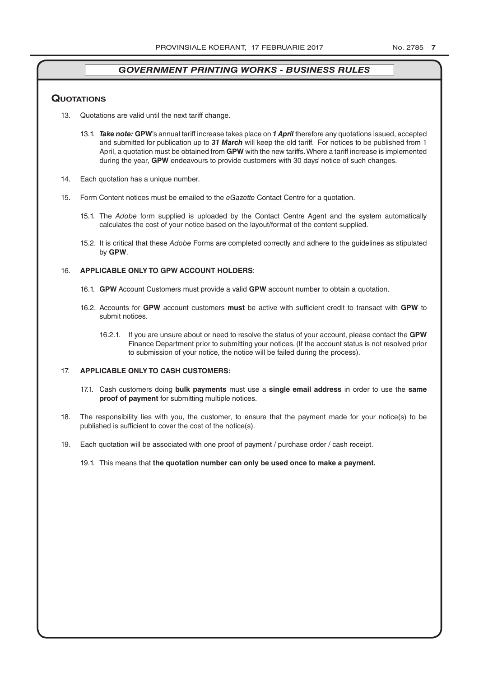### **QuoTATions**

- 13. Quotations are valid until the next tariff change.
	- 13.1. *Take note:* **GPW**'s annual tariff increase takes place on *1 April* therefore any quotations issued, accepted and submitted for publication up to *31 March* will keep the old tariff. For notices to be published from 1 April, a quotation must be obtained from **GPW** with the new tariffs. Where a tariff increase is implemented during the year, **GPW** endeavours to provide customers with 30 days' notice of such changes.
- 14. Each quotation has a unique number.
- 15. Form Content notices must be emailed to the *eGazette* Contact Centre for a quotation.
	- 15.1. The *Adobe* form supplied is uploaded by the Contact Centre Agent and the system automatically calculates the cost of your notice based on the layout/format of the content supplied.
	- 15.2. It is critical that these *Adobe* Forms are completed correctly and adhere to the guidelines as stipulated by **GPW**.

#### 16. **APPLICABLE ONLY TO GPW ACCOUNT HOLDERS**:

- 16.1. **GPW** Account Customers must provide a valid **GPW** account number to obtain a quotation.
- 16.2. Accounts for **GPW** account customers **must** be active with sufficient credit to transact with **GPW** to submit notices.
	- 16.2.1. If you are unsure about or need to resolve the status of your account, please contact the **GPW** Finance Department prior to submitting your notices. (If the account status is not resolved prior to submission of your notice, the notice will be failed during the process).

#### 17. **APPLICABLE ONLY TO CASH CUSTOMERS:**

- 17.1. Cash customers doing **bulk payments** must use a **single email address** in order to use the **same proof of payment** for submitting multiple notices.
- 18. The responsibility lies with you, the customer, to ensure that the payment made for your notice(s) to be published is sufficient to cover the cost of the notice(s).
- 19. Each quotation will be associated with one proof of payment / purchase order / cash receipt.
	- 19.1. This means that **the quotation number can only be used once to make a payment.**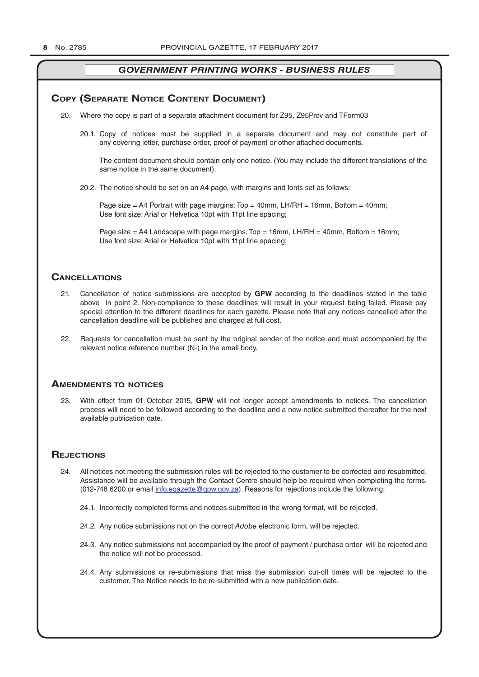## **COPY (SEPARATE NOTICE CONTENT DOCUMENT)**

- 20. Where the copy is part of a separate attachment document for Z95, Z95Prov and TForm03
	- 20.1. Copy of notices must be supplied in a separate document and may not constitute part of any covering letter, purchase order, proof of payment or other attached documents.

The content document should contain only one notice. (You may include the different translations of the same notice in the same document).

20.2. The notice should be set on an A4 page, with margins and fonts set as follows:

Page size  $=$  A4 Portrait with page margins: Top  $=$  40mm, LH/RH  $=$  16mm, Bottom  $=$  40mm; Use font size: Arial or Helvetica 10pt with 11pt line spacing;

Page size = A4 Landscape with page margins: Top = 16mm, LH/RH = 40mm, Bottom = 16mm; Use font size: Arial or Helvetica 10pt with 11pt line spacing;

## **CAnCellATions**

- 21. Cancellation of notice submissions are accepted by **GPW** according to the deadlines stated in the table above in point 2. Non-compliance to these deadlines will result in your request being failed. Please pay special attention to the different deadlines for each gazette. Please note that any notices cancelled after the cancellation deadline will be published and charged at full cost.
- 22. Requests for cancellation must be sent by the original sender of the notice and must accompanied by the relevant notice reference number (N-) in the email body.

## **AmendmenTs To noTiCes**

23. With effect from 01 October 2015, **GPW** will not longer accept amendments to notices. The cancellation process will need to be followed according to the deadline and a new notice submitted thereafter for the next available publication date.

## **REJECTIONS**

- 24. All notices not meeting the submission rules will be rejected to the customer to be corrected and resubmitted. Assistance will be available through the Contact Centre should help be required when completing the forms. (012-748 6200 or email info.egazette@gpw.gov.za). Reasons for rejections include the following:
	- 24.1. Incorrectly completed forms and notices submitted in the wrong format, will be rejected.
	- 24.2. Any notice submissions not on the correct *Adobe* electronic form, will be rejected.
	- 24.3. Any notice submissions not accompanied by the proof of payment / purchase order will be rejected and the notice will not be processed.
	- 24.4. Any submissions or re-submissions that miss the submission cut-off times will be rejected to the customer. The Notice needs to be re-submitted with a new publication date.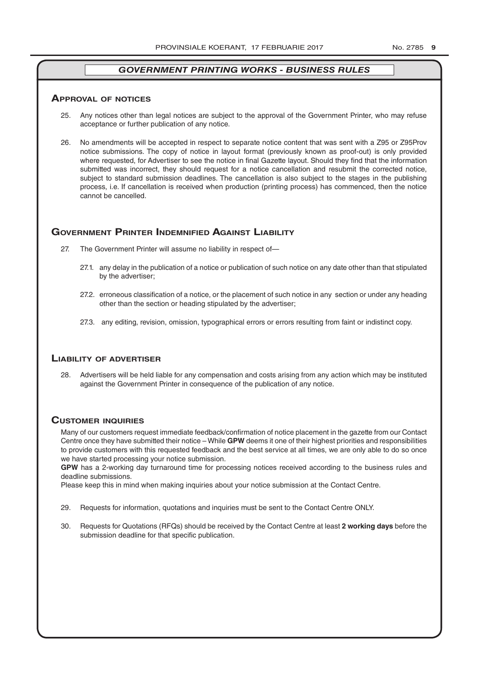#### **ApprovAl of noTiCes**

- 25. Any notices other than legal notices are subject to the approval of the Government Printer, who may refuse acceptance or further publication of any notice.
- 26. No amendments will be accepted in respect to separate notice content that was sent with a Z95 or Z95Prov notice submissions. The copy of notice in layout format (previously known as proof-out) is only provided where requested, for Advertiser to see the notice in final Gazette layout. Should they find that the information submitted was incorrect, they should request for a notice cancellation and resubmit the corrected notice, subject to standard submission deadlines. The cancellation is also subject to the stages in the publishing process, i.e. If cancellation is received when production (printing process) has commenced, then the notice cannot be cancelled.

## **governmenT prinTer indemnified AgAinsT liAbiliTy**

- 27. The Government Printer will assume no liability in respect of—
	- 27.1. any delay in the publication of a notice or publication of such notice on any date other than that stipulated by the advertiser;
	- 27.2. erroneous classification of a notice, or the placement of such notice in any section or under any heading other than the section or heading stipulated by the advertiser;
	- 27.3. any editing, revision, omission, typographical errors or errors resulting from faint or indistinct copy.

### **liAbiliTy of AdverTiser**

28. Advertisers will be held liable for any compensation and costs arising from any action which may be instituted against the Government Printer in consequence of the publication of any notice.

### **CusTomer inQuiries**

Many of our customers request immediate feedback/confirmation of notice placement in the gazette from our Contact Centre once they have submitted their notice – While **GPW** deems it one of their highest priorities and responsibilities to provide customers with this requested feedback and the best service at all times, we are only able to do so once we have started processing your notice submission.

**GPW** has a 2-working day turnaround time for processing notices received according to the business rules and deadline submissions.

Please keep this in mind when making inquiries about your notice submission at the Contact Centre.

- 29. Requests for information, quotations and inquiries must be sent to the Contact Centre ONLY.
- 30. Requests for Quotations (RFQs) should be received by the Contact Centre at least **2 working days** before the submission deadline for that specific publication.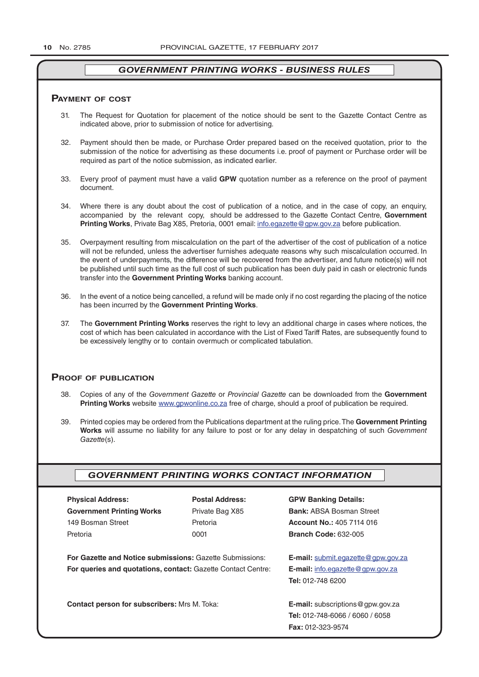#### **pAymenT of CosT**

- 31. The Request for Quotation for placement of the notice should be sent to the Gazette Contact Centre as indicated above, prior to submission of notice for advertising.
- 32. Payment should then be made, or Purchase Order prepared based on the received quotation, prior to the submission of the notice for advertising as these documents i.e. proof of payment or Purchase order will be required as part of the notice submission, as indicated earlier.
- 33. Every proof of payment must have a valid **GPW** quotation number as a reference on the proof of payment document.
- 34. Where there is any doubt about the cost of publication of a notice, and in the case of copy, an enquiry, accompanied by the relevant copy, should be addressed to the Gazette Contact Centre, **Government Printing Works**, Private Bag X85, Pretoria, 0001 email: info.egazette@gpw.gov.za before publication.
- 35. Overpayment resulting from miscalculation on the part of the advertiser of the cost of publication of a notice will not be refunded, unless the advertiser furnishes adequate reasons why such miscalculation occurred. In the event of underpayments, the difference will be recovered from the advertiser, and future notice(s) will not be published until such time as the full cost of such publication has been duly paid in cash or electronic funds transfer into the **Government Printing Works** banking account.
- 36. In the event of a notice being cancelled, a refund will be made only if no cost regarding the placing of the notice has been incurred by the **Government Printing Works**.
- 37. The **Government Printing Works** reserves the right to levy an additional charge in cases where notices, the cost of which has been calculated in accordance with the List of Fixed Tariff Rates, are subsequently found to be excessively lengthy or to contain overmuch or complicated tabulation.

### **proof of publiCATion**

- 38. Copies of any of the *Government Gazette* or *Provincial Gazette* can be downloaded from the **Government Printing Works** website www.gpwonline.co.za free of charge, should a proof of publication be required.
- 39. Printed copies may be ordered from the Publications department at the ruling price. The **Government Printing Works** will assume no liability for any failure to post or for any delay in despatching of such *Government Gazette*(s).

## *GOVERNMENT PRINTING WORKS CONTACT INFORMATION*

| <b>Physical Address:</b>                                            | <b>Postal Address:</b>                      | <b>GPW Banking Details:</b>               |
|---------------------------------------------------------------------|---------------------------------------------|-------------------------------------------|
| <b>Government Printing Works</b>                                    | Private Bag X85                             | <b>Bank: ABSA Bosman Street</b>           |
| 149 Bosman Street                                                   | Pretoria                                    | <b>Account No.: 405 7114 016</b>          |
| Pretoria                                                            | 0001                                        | <b>Branch Code: 632-005</b>               |
| For Gazette and Notice submissions: Gazette Submissions:            |                                             | <b>E-mail:</b> submit.eqazette@gpw.gov.za |
| <b>For queries and quotations, contact: Gazette Contact Centre:</b> |                                             | E-mail: info.egazette@gpw.gov.za          |
|                                                                     |                                             | <b>Tel: 012-748 6200</b>                  |
| <b>Contact person for subscribers: Mrs M. Toka:</b>                 | <b>E-mail:</b> subscriptions $@$ gpw.gov.za |                                           |
|                                                                     |                                             | <b>Tel: 012-748-6066 / 6060 / 6058</b>    |
|                                                                     |                                             | <b>Fax: 012-323-9574</b>                  |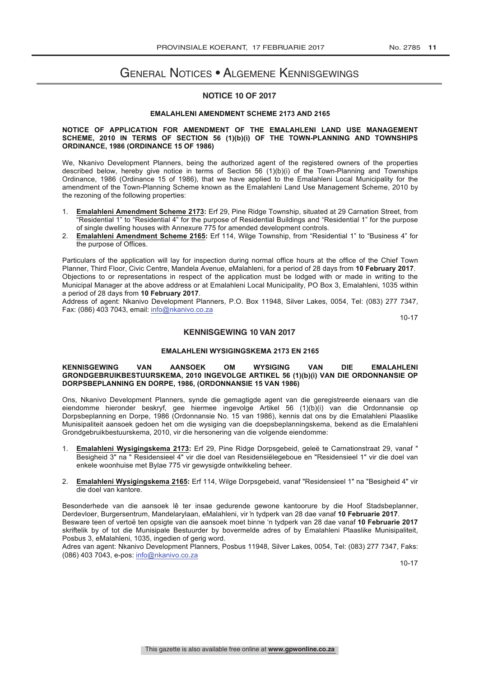## General Notices • Algemene Kennisgewings

### **NOTICE 10 OF 2017**

#### **EMALAHLENI AMENDMENT SCHEME 2173 AND 2165**

#### **NOTICE OF APPLICATION FOR AMENDMENT OF THE EMALAHLENI LAND USE MANAGEMENT SCHEME, 2010 IN TERMS OF SECTION 56 (1)(b)(i) OF THE TOWN-PLANNING AND TOWNSHIPS ORDINANCE, 1986 (ORDINANCE 15 OF 1986)**

We, Nkanivo Development Planners, being the authorized agent of the registered owners of the properties described below, hereby give notice in terms of Section 56 (1)(b)(i) of the Town-Planning and Townships Ordinance, 1986 (Ordinance 15 of 1986), that we have applied to the Emalahleni Local Municipality for the amendment of the Town-Planning Scheme known as the Emalahleni Land Use Management Scheme, 2010 by the rezoning of the following properties:

- 1. **Emalahleni Amendment Scheme 2173:** Erf 29, Pine Ridge Township, situated at 29 Carnation Street, from "Residential 1" to "Residential 4" for the purpose of Residential Buildings and "Residential 1" for the purpose of single dwelling houses with Annexure 775 for amended development controls.
- 2. **Emalahleni Amendment Scheme 2165:** Erf 114, Wilge Township, from "Residential 1" to "Business 4" for the purpose of Offices.

Particulars of the application will lay for inspection during normal office hours at the office of the Chief Town Planner, Third Floor, Civic Centre, Mandela Avenue, eMalahleni, for a period of 28 days from **10 February 2017**. Objections to or representations in respect of the application must be lodged with or made in writing to the Municipal Manager at the above address or at Emalahleni Local Municipality, PO Box 3, Emalahleni, 1035 within a period of 28 days from **10 February 2017**.

Address of agent: Nkanivo Development Planners, P.O. Box 11948, Silver Lakes, 0054, Tel: (083) 277 7347, Fax: (086) 403 7043, email: info@nkanivo.co.za

10-17

#### **KENNISGEWING 10 VAN 2017**

#### **EMALAHLENI WYSIGINGSKEMA 2173 EN 2165**

#### **KENNISGEWING VAN AANSOEK OM WYSIGING VAN DIE EMALAHLENI GRONDGEBRUIKBESTUURSKEMA, 2010 INGEVOLGE ARTIKEL 56 (1)(b)(i) VAN DIE ORDONNANSIE OP DORPSBEPLANNING EN DORPE, 1986, (ORDONNANSIE 15 VAN 1986)**

Ons, Nkanivo Development Planners, synde die gemagtigde agent van die geregistreerde eienaars van die eiendomme hieronder beskryf, gee hiermee ingevolge Artikel 56 (1)(b)(i) van die Ordonnansie op Dorpsbeplanning en Dorpe, 1986 (Ordonnansie No. 15 van 1986), kennis dat ons by die Emalahleni Plaaslike Munisipaliteit aansoek gedoen het om die wysiging van die doepsbeplanningskema, bekend as die Emalahleni Grondgebruikbestuurskema, 2010, vir die hersonering van die volgende eiendomme:

- 1. **Emalahleni Wysigingskema 2173:** Erf 29, Pine Ridge Dorpsgebeid, geleë te Carnationstraat 29, vanaf " Besigheid 3" na " Residensieel 4" vir die doel van Residensiëlegeboue en "Residensieel 1" vir die doel van enkele woonhuise met Bylae 775 vir gewysigde ontwikkeling beheer.
- 2. **Emalahleni Wysigingskema 2165:** Erf 114, Wilge Dorpsgebeid, vanaf "Residensieel 1" na "Besigheid 4" vir die doel van kantore.

Besonderhede van die aansoek lê ter insae gedurende gewone kantoorure by die Hoof Stadsbeplanner, Derdevloer, Burgersentrum, Mandelarylaan, eMalahleni, vir 'n tydperk van 28 dae vanaf **10 Februarie 2017**. Besware teen of vertoë ten opsigte van die aansoek moet binne 'n tydperk van 28 dae vanaf **10 Februarie 2017**  skriftelik by of tot die Munisipale Bestuurder by bovermelde adres of by Emalahleni Plaaslike Munisipaliteit, Posbus 3, eMalahleni, 1035, ingedien of gerig word.

Adres van agent: Nkanivo Development Planners, Posbus 11948, Silver Lakes, 0054, Tel: (083) 277 7347, Faks: (086) 403 7043, e-pos: info@nkanivo.co.za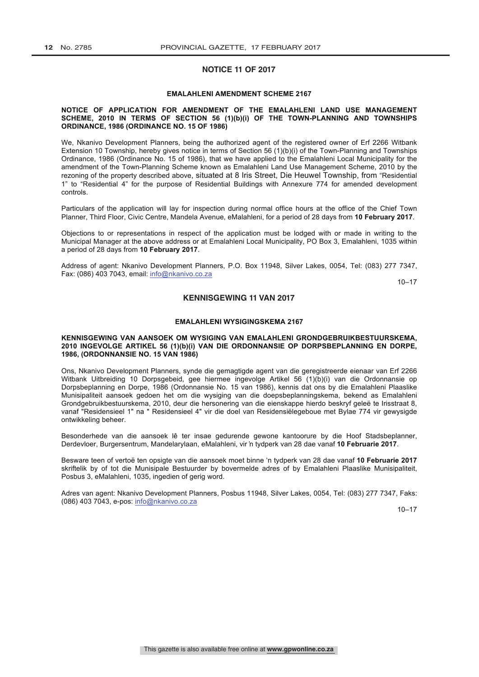#### **NOTICE 11 OF 2017**

#### **EMALAHLENI AMENDMENT SCHEME 2167**

#### **NOTICE OF APPLICATION FOR AMENDMENT OF THE EMALAHLENI LAND USE MANAGEMENT SCHEME, 2010 IN TERMS OF SECTION 56 (1)(b)(i) OF THE TOWN-PLANNING AND TOWNSHIPS ORDINANCE, 1986 (ORDINANCE NO. 15 OF 1986)**

We, Nkanivo Development Planners, being the authorized agent of the registered owner of Erf 2266 Witbank Extension 10 Township, hereby gives notice in terms of Section 56 (1)(b)(i) of the Town-Planning and Townships Ordinance, 1986 (Ordinance No. 15 of 1986), that we have applied to the Emalahleni Local Municipality for the amendment of the Town-Planning Scheme known as Emalahleni Land Use Management Scheme, 2010 by the rezoning of the property described above, situated at 8 Iris Street, Die Heuwel Township, from "Residential 1" to "Residential 4" for the purpose of Residential Buildings with Annexure 774 for amended development controls.

Particulars of the application will lay for inspection during normal office hours at the office of the Chief Town Planner, Third Floor, Civic Centre, Mandela Avenue, eMalahleni, for a period of 28 days from **10 February 2017**.

Objections to or representations in respect of the application must be lodged with or made in writing to the Municipal Manager at the above address or at Emalahleni Local Municipality, PO Box 3, Emalahleni, 1035 within a period of 28 days from **10 February 2017**.

Address of agent: Nkanivo Development Planners, P.O. Box 11948, Silver Lakes, 0054, Tel: (083) 277 7347, Fax: (086) 403 7043, email: info@nkanivo.co.za

10–17

#### **KENNISGEWING 11 VAN 2017**

#### **EMALAHLENI WYSIGINGSKEMA 2167**

#### **KENNISGEWING VAN AANSOEK OM WYSIGING VAN EMALAHLENI GRONDGEBRUIKBESTUURSKEMA, 2010 INGEVOLGE ARTIKEL 56 (1)(b)(i) VAN DIE ORDONNANSIE OP DORPSBEPLANNING EN DORPE, 1986, (ORDONNANSIE NO. 15 VAN 1986)**

Ons, Nkanivo Development Planners, synde die gemagtigde agent van die geregistreerde eienaar van Erf 2266 Witbank Uitbreiding 10 Dorpsgebeid, gee hiermee ingevolge Artikel 56 (1)(b)(i) van die Ordonnansie op Dorpsbeplanning en Dorpe, 1986 (Ordonnansie No. 15 van 1986), kennis dat ons by die Emalahleni Plaaslike Munisipaliteit aansoek gedoen het om die wysiging van die doepsbeplanningskema, bekend as Emalahleni Grondgebruikbestuurskema, 2010, deur die hersonering van die eienskappe hierdo beskryf geleë te Irisstraat 8, vanaf "Residensieel 1" na " Residensieel 4" vir die doel van Residensiëlegeboue met Bylae 774 vir gewysigde ontwikkeling beheer.

Besonderhede van die aansoek lê ter insae gedurende gewone kantoorure by die Hoof Stadsbeplanner, Derdevloer, Burgersentrum, Mandelarylaan, eMalahleni, vir 'n tydperk van 28 dae vanaf **10 Februarie 2017**.

Besware teen of vertoë ten opsigte van die aansoek moet binne 'n tydperk van 28 dae vanaf **10 Februarie 2017** skriftelik by of tot die Munisipale Bestuurder by bovermelde adres of by Emalahleni Plaaslike Munisipaliteit, Posbus 3, eMalahleni, 1035, ingedien of gerig word.

Adres van agent: Nkanivo Development Planners, Posbus 11948, Silver Lakes, 0054, Tel: (083) 277 7347, Faks: (086) 403 7043, e-pos: info@nkanivo.co.za

10–17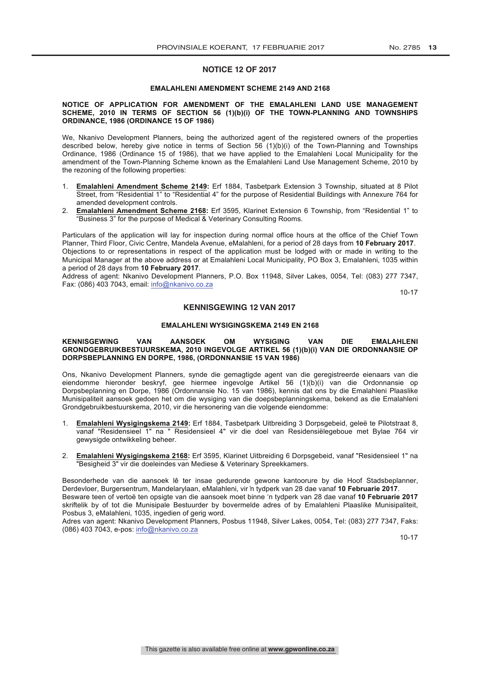#### **NOTICE 12 OF 2017**

#### **EMALAHLENI AMENDMENT SCHEME 2149 AND 2168**

#### **NOTICE OF APPLICATION FOR AMENDMENT OF THE EMALAHLENI LAND USE MANAGEMENT SCHEME, 2010 IN TERMS OF SECTION 56 (1)(b)(i) OF THE TOWN-PLANNING AND TOWNSHIPS ORDINANCE, 1986 (ORDINANCE 15 OF 1986)**

We, Nkanivo Development Planners, being the authorized agent of the registered owners of the properties described below, hereby give notice in terms of Section 56 (1)(b)(i) of the Town-Planning and Townships Ordinance, 1986 (Ordinance 15 of 1986), that we have applied to the Emalahleni Local Municipality for the amendment of the Town-Planning Scheme known as the Emalahleni Land Use Management Scheme, 2010 by the rezoning of the following properties:

- 1. **Emalahleni Amendment Scheme 2149:** Erf 1884, Tasbetpark Extension 3 Township, situated at 8 Pilot Street, from "Residential 1" to "Residential 4" for the purpose of Residential Buildings with Annexure 764 for amended development controls.
- 2. **Emalahleni Amendment Scheme 2168:** Erf 3595, Klarinet Extension 6 Township, from "Residential 1" to "Business 3" for the purpose of Medical & Veterinary Consulting Rooms.

Particulars of the application will lay for inspection during normal office hours at the office of the Chief Town Planner, Third Floor, Civic Centre, Mandela Avenue, eMalahleni, for a period of 28 days from **10 February 2017**. Objections to or representations in respect of the application must be lodged with or made in writing to the Municipal Manager at the above address or at Emalahleni Local Municipality, PO Box 3, Emalahleni, 1035 within a period of 28 days from **10 February 2017**.

Address of agent: Nkanivo Development Planners, P.O. Box 11948, Silver Lakes, 0054, Tel: (083) 277 7347, Fax: (086) 403 7043, email: info@nkanivo.co.za

10-17

#### **KENNISGEWING 12 VAN 2017**

#### **EMALAHLENI WYSIGINGSKEMA 2149 EN 2168**

#### **KENNISGEWING VAN AANSOEK OM WYSIGING VAN DIE EMALAHLENI GRONDGEBRUIKBESTUURSKEMA, 2010 INGEVOLGE ARTIKEL 56 (1)(b)(i) VAN DIE ORDONNANSIE OP DORPSBEPLANNING EN DORPE, 1986, (ORDONNANSIE 15 VAN 1986)**

Ons, Nkanivo Development Planners, synde die gemagtigde agent van die geregistreerde eienaars van die eiendomme hieronder beskryf, gee hiermee ingevolge Artikel 56 (1)(b)(i) van die Ordonnansie op Dorpsbeplanning en Dorpe, 1986 (Ordonnansie No. 15 van 1986), kennis dat ons by die Emalahleni Plaaslike Munisipaliteit aansoek gedoen het om die wysiging van die doepsbeplanningskema, bekend as die Emalahleni Grondgebruikbestuurskema, 2010, vir die hersonering van die volgende eiendomme:

- 1. **Emalahleni Wysigingskema 2149:** Erf 1884, Tasbetpark Uitbreiding 3 Dorpsgebeid, geleë te Pilotstraat 8, vanaf "Residensieel 1" na " Residensieel 4" vir die doel van Residensiëlegeboue met Bylae 764 vir gewysigde ontwikkeling beheer.
- 2. **Emalahleni Wysigingskema 2168:** Erf 3595, Klarinet Uitbreiding 6 Dorpsgebeid, vanaf "Residensieel 1" na "Besigheid 3" vir die doeleindes van Mediese & Veterinary Spreekkamers.

Besonderhede van die aansoek lê ter insae gedurende gewone kantoorure by die Hoof Stadsbeplanner, Derdevloer, Burgersentrum, Mandelarylaan, eMalahleni, vir 'n tydperk van 28 dae vanaf **10 Februarie 2017**. Besware teen of vertoë ten opsigte van die aansoek moet binne 'n tydperk van 28 dae vanaf **10 Februarie 2017**  skriftelik by of tot die Munisipale Bestuurder by bovermelde adres of by Emalahleni Plaaslike Munisipaliteit, Posbus 3, eMalahleni, 1035, ingedien of gerig word.

Adres van agent: Nkanivo Development Planners, Posbus 11948, Silver Lakes, 0054, Tel: (083) 277 7347, Faks: (086) 403 7043, e-pos: info@nkanivo.co.za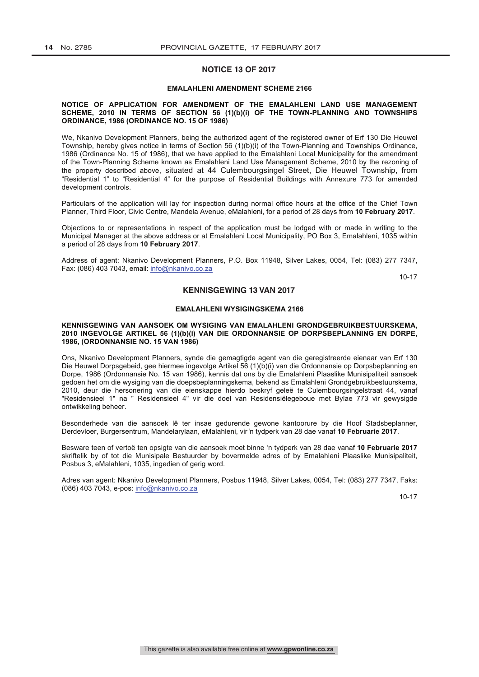#### **NOTICE 13 OF 2017**

#### **EMALAHLENI AMENDMENT SCHEME 2166**

#### **NOTICE OF APPLICATION FOR AMENDMENT OF THE EMALAHLENI LAND USE MANAGEMENT SCHEME, 2010 IN TERMS OF SECTION 56 (1)(b)(i) OF THE TOWN-PLANNING AND TOWNSHIPS ORDINANCE, 1986 (ORDINANCE NO. 15 OF 1986)**

We, Nkanivo Development Planners, being the authorized agent of the registered owner of Erf 130 Die Heuwel Township, hereby gives notice in terms of Section 56 (1)(b)(i) of the Town-Planning and Townships Ordinance, 1986 (Ordinance No. 15 of 1986), that we have applied to the Emalahleni Local Municipality for the amendment of the Town-Planning Scheme known as Emalahleni Land Use Management Scheme, 2010 by the rezoning of the property described above, situated at 44 Culembourgsingel Street, Die Heuwel Township, from "Residential 1" to "Residential 4" for the purpose of Residential Buildings with Annexure 773 for amended development controls.

Particulars of the application will lay for inspection during normal office hours at the office of the Chief Town Planner, Third Floor, Civic Centre, Mandela Avenue, eMalahleni, for a period of 28 days from **10 February 2017**.

Objections to or representations in respect of the application must be lodged with or made in writing to the Municipal Manager at the above address or at Emalahleni Local Municipality, PO Box 3, Emalahleni, 1035 within a period of 28 days from **10 February 2017**.

Address of agent: Nkanivo Development Planners, P.O. Box 11948, Silver Lakes, 0054, Tel: (083) 277 7347, Fax: (086) 403 7043, email: info@nkanivo.co.za

10-17

#### **KENNISGEWING 13 VAN 2017**

#### **EMALAHLENI WYSIGINGSKEMA 2166**

#### **KENNISGEWING VAN AANSOEK OM WYSIGING VAN EMALAHLENI GRONDGEBRUIKBESTUURSKEMA, 2010 INGEVOLGE ARTIKEL 56 (1)(b)(i) VAN DIE ORDONNANSIE OP DORPSBEPLANNING EN DORPE, 1986, (ORDONNANSIE NO. 15 VAN 1986)**

Ons, Nkanivo Development Planners, synde die gemagtigde agent van die geregistreerde eienaar van Erf 130 Die Heuwel Dorpsgebeid, gee hiermee ingevolge Artikel 56 (1)(b)(i) van die Ordonnansie op Dorpsbeplanning en Dorpe, 1986 (Ordonnansie No. 15 van 1986), kennis dat ons by die Emalahleni Plaaslike Munisipaliteit aansoek gedoen het om die wysiging van die doepsbeplanningskema, bekend as Emalahleni Grondgebruikbestuurskema, 2010, deur die hersonering van die eienskappe hierdo beskryf geleë te Culembourgsingelstraat 44, vanaf "Residensieel 1" na " Residensieel 4" vir die doel van Residensiëlegeboue met Bylae 773 vir gewysigde ontwikkeling beheer.

Besonderhede van die aansoek lê ter insae gedurende gewone kantoorure by die Hoof Stadsbeplanner, Derdevloer, Burgersentrum, Mandelarylaan, eMalahleni, vir 'n tydperk van 28 dae vanaf **10 Februarie 2017**.

Besware teen of vertoë ten opsigte van die aansoek moet binne 'n tydperk van 28 dae vanaf **10 Februarie 2017** skriftelik by of tot die Munisipale Bestuurder by bovermelde adres of by Emalahleni Plaaslike Munisipaliteit, Posbus 3, eMalahleni, 1035, ingedien of gerig word.

Adres van agent: Nkanivo Development Planners, Posbus 11948, Silver Lakes, 0054, Tel: (083) 277 7347, Faks: (086) 403 7043, e-pos: info@nkanivo.co.za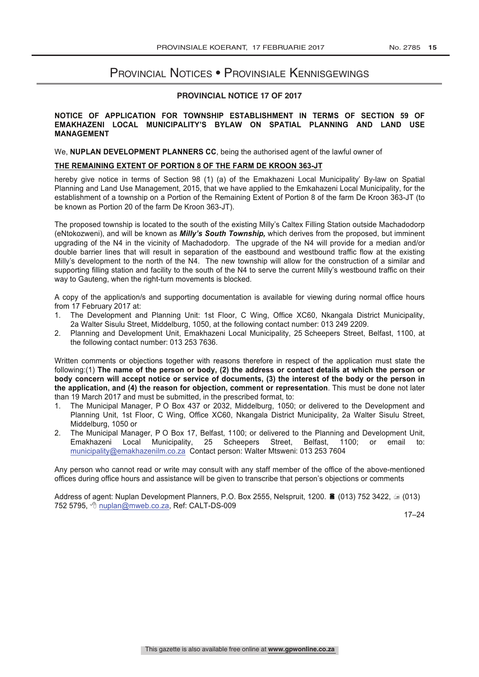## Provincial Notices • Provinsiale Kennisgewings

## **PROVINCIAL NOTICE 17 OF 2017**

#### **NOTICE OF APPLICATION FOR TOWNSHIP ESTABLISHMENT IN TERMS OF SECTION 59 OF EMAKHAZENI LOCAL MUNICIPALITY'S BYLAW ON SPATIAL PLANNING AND LAND USE MANAGEMENT**

We, **NUPLAN DEVELOPMENT PLANNERS CC**, being the authorised agent of the lawful owner of

#### **THE REMAINING EXTENT OF PORTION 8 OF THE FARM DE KROON 363-JT**

hereby give notice in terms of Section 98 (1) (a) of the Emakhazeni Local Municipality' By-law on Spatial Planning and Land Use Management, 2015, that we have applied to the Emkahazeni Local Municipality, for the establishment of a township on a Portion of the Remaining Extent of Portion 8 of the farm De Kroon 363-JT (to be known as Portion 20 of the farm De Kroon 363-JT).

The proposed township is located to the south of the existing Milly's Caltex Filling Station outside Machadodorp (eNtokozweni), and will be known as *Milly's South Township,* which derives from the proposed, but imminent upgrading of the N4 in the vicinity of Machadodorp. The upgrade of the N4 will provide for a median and/or double barrier lines that will result in separation of the eastbound and westbound traffic flow at the existing Milly's development to the north of the N4. The new township will allow for the construction of a similar and supporting filling station and facility to the south of the N4 to serve the current Milly's westbound traffic on their way to Gauteng, when the right-turn movements is blocked.

A copy of the application/s and supporting documentation is available for viewing during normal office hours from 17 February 2017 at:

- 1. The Development and Planning Unit: 1st Floor, C Wing, Office XC60, Nkangala District Municipality, 2a Walter Sisulu Street, Middelburg, 1050, at the following contact number: 013 249 2209.
- 2. Planning and Development Unit, Emakhazeni Local Municipality, 25 Scheepers Street, Belfast, 1100, at the following contact number: 013 253 7636.

Written comments or objections together with reasons therefore in respect of the application must state the following:(1) **The name of the person or body, (2) the address or contact details at which the person or body concern will accept notice or service of documents, (3) the interest of the body or the person in the application, and (4) the reason for objection, comment or representation**. This must be done not later than 19 March 2017 and must be submitted, in the prescribed format, to:

- 1. The Municipal Manager, P O Box 437 or 2032, Middelburg, 1050; or delivered to the Development and Planning Unit, 1st Floor, C Wing, Office XC60, Nkangala District Municipality, 2a Walter Sisulu Street, Middelburg, 1050 or
- 2. The Municipal Manager, P O Box 17, Belfast, 1100; or delivered to the Planning and Development Unit, Emakhazeni Local Municipality, 25 Scheepers Street, Belfast, 1100; or email municipality@emakhazenilm.co.za Contact person: Walter Mtsweni: 013 253 7604

Any person who cannot read or write may consult with any staff member of the office of the above-mentioned offices during office hours and assistance will be given to transcribe that person's objections or comments

Address of agent: Nuplan Development Planners, P.O. Box 2555, Nelspruit, 1200,  $\triangleq$  (013) 752 3422,  $\triangleq$  (013) 752 5795, <sup>8</sup> nuplan@mweb.co.za, Ref: CALT-DS-009

17–24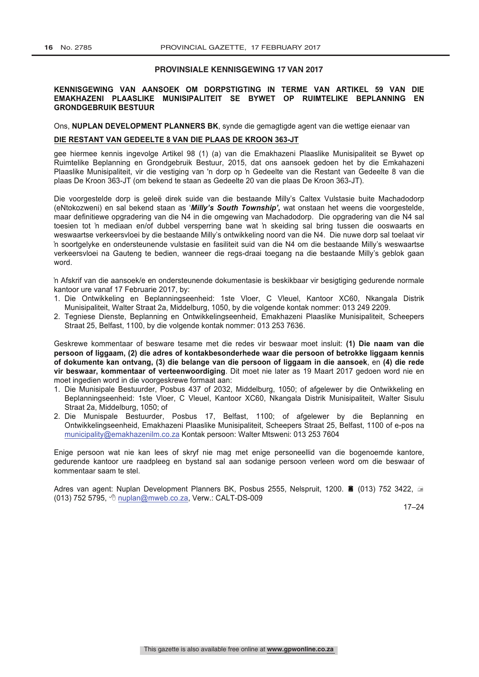#### **PROVINSIALE KENNISGEWING 17 VAN 2017**

#### **KENNISGEWING VAN AANSOEK OM DORPSTIGTING IN TERME VAN ARTIKEL 59 VAN DIE EMAKHAZENI PLAASLIKE MUNISIPALITEIT SE BYWET OP RUIMTELIKE BEPLANNING EN GRONDGEBRUIK BESTUUR**

Ons, **NUPLAN DEVELOPMENT PLANNERS BK**, synde die gemagtigde agent van die wettige eienaar van

#### **DIE RESTANT VAN GEDEELTE 8 VAN DIE PLAAS DE KROON 363-JT**

gee hiermee kennis ingevolge Artikel 98 (1) (a) van die Emakhazeni Plaaslike Munisipaliteit se Bywet op Ruimtelike Beplanning en Grondgebruik Bestuur, 2015, dat ons aansoek gedoen het by die Emkahazeni Plaaslike Munisipaliteit, vir die vestiging van 'n dorp op 'n Gedeelte van die Restant van Gedeelte 8 van die plaas De Kroon 363-JT (om bekend te staan as Gedeelte 20 van die plaas De Kroon 363-JT).

Die voorgestelde dorp is geleë direk suide van die bestaande Milly's Caltex Vulstasie buite Machadodorp (eNtokozweni) en sal bekend staan as '*Milly's South Township',* wat onstaan het weens die voorgestelde, maar definitiewe opgradering van die N4 in die omgewing van Machadodorp. Die opgradering van die N4 sal toesien tot 'n mediaan en/of dubbel versperring bane wat 'n skeiding sal bring tussen die ooswaarts en weswaartse verkeersvloei by die bestaande Milly's ontwikkeling noord van die N4. Die nuwe dorp sal toelaat vir 'n soortgelyke en ondersteunende vulstasie en fasiliteit suid van die N4 om die bestaande Milly's weswaartse verkeersvloei na Gauteng te bedien, wanneer die regs-draai toegang na die bestaande Milly's geblok gaan word.

'n Afskrif van die aansoek/e en ondersteunende dokumentasie is beskikbaar vir besigtiging gedurende normale kantoor ure vanaf 17 Februarie 2017, by:

- 1. Die Ontwikkeling en Beplanningseenheid: 1ste Vloer, C Vleuel, Kantoor XC60, Nkangala Distrik Munisipaliteit, Walter Straat 2a, Middelburg, 1050, by die volgende kontak nommer: 013 249 2209.
- 2. Tegniese Dienste, Beplanning en Ontwikkelingseenheid, Emakhazeni Plaaslike Munisipaliteit, Scheepers Straat 25, Belfast, 1100, by die volgende kontak nommer: 013 253 7636.

Geskrewe kommentaar of besware tesame met die redes vir beswaar moet insluit: **(1) Die naam van die persoon of liggaam, (2) die adres of kontakbesonderhede waar die persoon of betrokke liggaam kennis of dokumente kan ontvang, (3) die belange van die persoon of liggaam in die aansoek**, en **(4) die rede vir beswaar, kommentaar of verteenwoordiging**. Dit moet nie later as 19 Maart 2017 gedoen word nie en moet ingedien word in die voorgeskrewe formaat aan:

- 1. Die Munisipale Bestuurder, Posbus 437 of 2032, Middelburg, 1050; of afgelewer by die Ontwikkeling en Beplanningseenheid: 1ste Vloer, C Vleuel, Kantoor XC60, Nkangala Distrik Munisipaliteit, Walter Sisulu Straat 2a, Middelburg, 1050; of
- 2. Die Munispale Bestuurder, Posbus 17, Belfast, 1100; of afgelewer by die Beplanning en Ontwikkelingseenheid, Emakhazeni Plaaslike Munisipaliteit, Scheepers Straat 25, Belfast, 1100 of e-pos na municipality@emakhazenilm.co.za Kontak persoon: Walter Mtsweni: 013 253 7604

Enige persoon wat nie kan lees of skryf nie mag met enige personeellid van die bogenoemde kantore, gedurende kantoor ure raadpleeg en bystand sal aan sodanige persoon verleen word om die beswaar of kommentaar saam te stel.

Adres van agent: Nuplan Development Planners BK, Posbus 2555, Nelspruit, 1200. <sup>3</sup> (013) 752 3422, a (013) 752 5795, *A* nuplan@mweb.co.za, Verw.: CALT-DS-009

17–24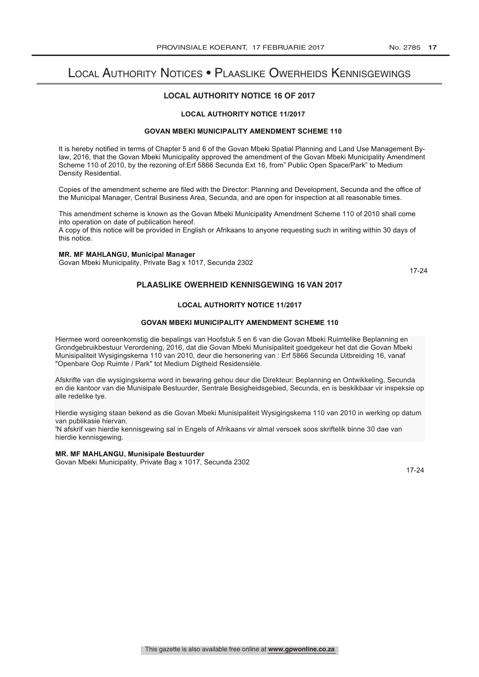## Local Authority Notices • Plaaslike Owerheids Kennisgewings

## **LOCAL AUTHORITY NOTICE 16 OF 2017**

#### **LOCAL AUTHORITY NOTICE 11/2017**

#### **GOVAN MBEKI MUNICIPALITY AMENDMENT SCHEME 110**

It is hereby notified in terms of Chapter 5 and 6 of the Govan Mbeki Spatial Planning and Land Use Management Bylaw, 2016, that the Govan Mbeki Municipality approved the amendment of the Govan Mbeki Municipality Amendment Scheme 110 of 2010, by the rezoning of:Erf 5866 Secunda Ext 16, from" Public Open Space/Park" to Medium Density Residential.

Copies of the amendment scheme are filed with the Director: Planning and Development, Secunda and the office of the Municipal Manager, Central Business Area, Secunda, and are open for inspection at all reasonable times.

This amendment scheme is known as the Govan Mbeki Municipality Amendment Scheme 110 of 2010 shall come into operation on date of publication hereof.

A copy of this notice will be provided in English or Afrikaans to anyone requesting such in writing within 30 days of this notice.

#### **MR. MF MAHLANGU, Municipal Manager**

Govan Mbeki Municipality, Private Bag x 1017, Secunda 2302

17-24

### **PLAASLIKE OWERHEID KENNISGEWING 16 VAN 2017**

#### **LOCAL AUTHORITY NOTICE 11/2017**

#### **GOVAN MBEKI MUNICIPALITY AMENDMENT SCHEME 110**

Hiermee word ooreenkomstig die bepalings van Hoofstuk 5 en 6 van die Govan Mbeki Ruimtelike Beplanning en Grondgebruikbestuur Verordening, 2016, dat die Govan Mbeki Munisipaliteit goedgekeur het dat die Govan Mbeki Munisipaliteit Wysigingskema 110 van 2010, deur die hersonering van : Erf 5866 Secunda Uitbreiding 16, vanaf "Openbare Oop Ruimte / Park" tot Medium Digtheid Residensiële.

Afskrifte van die wysigingskema word in bewaring gehou deur die Direkteur: Beplanning en Ontwikkeling, Secunda en die kantoor van die Munisipale Bestuurder, Sentrale Besigheidsgebied, Secunda, en is beskikbaar vir inspeksie op alle redelike tye.

Hierdie wysiging staan bekend as die Govan Mbeki Munisipaliteit Wysigingskema 110 van 2010 in werking op datum van publikasie hiervan.

'N afskrif van hierdie kennisgewing sal in Engels of Afrikaans vir almal versoek soos skriftelik binne 30 dae van hierdie kennisgewing.

#### **MR. MF MAHLANGU, Munisipale Bestuurder**

Govan Mbeki Municipality, Private Bag x 1017, Secunda 2302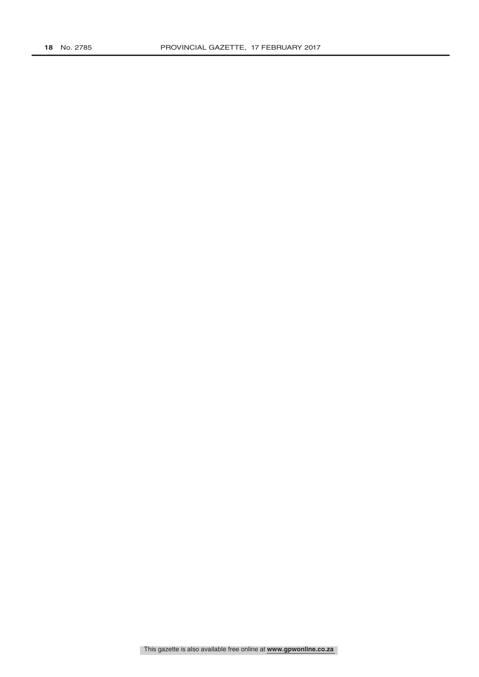This gazette is also available free online at **www.gpwonline.co.za**